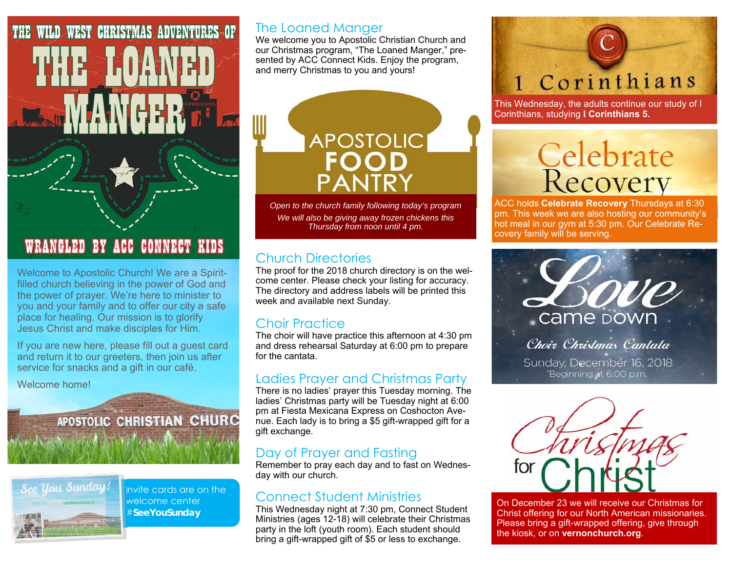

## WRANGLED BY ACC CONNECT KIDS

Welcome to Apostolic Church! We are a Spiritfilled church believing in the power of God and the power of prayer. We're here to minister to you and your family and to offer our city a safe place for healing. Our mission is to glorify Jesus Christ and make disciples for Him.

If you are new here, please fill out a guest card and return it to our greeters, then join us after service for snacks and a gift in our café.

South of the Wild Gave

Welcome home!

# APOSTOLIC CHRISTIAN CHURC



Invite cards are on the welcome center #**SeeYouSunday** 

### The Loaned Manger

We welcome you to Apostolic Christian Church and our Christmas program, "The Loaned Manger," presented by ACC Connect Kids. Enjoy the program, and merry Christmas to you and yours!

> **APOSTOLIC FOOD**

*Open to the church family following today's program We will also be giving away frozen chickens this Thursday from noon until 4 pm.* 

## Church Directories

The proof for the 2018 church directory is on the welcome center. Please check your listing for accuracy. The directory and address labels will be printed this week and available next Sunday.

## Choir Practice

The choir will have practice this afternoon at 4:30 pm and dress rehearsal Saturday at 6:00 pm to prepare for the cantata.

#### Ladies Prayer and Christmas Party

There is no ladies' prayer this Tuesday morning. The ladies' Christmas party will be Tuesday night at 6:00 pm at Fiesta Mexicana Express on Coshocton Avenue. Each lady is to bring a \$5 gift-wrapped gift for a gift exchange.

## Day of Prayer and Fasting

Remember to pray each day and to fast on Wednesday with our church.

## Connect Student Ministries

This Wednesday night at 7:30 pm, Connect Student Ministries (ages 12-18) will celebrate their Christmas party in the loft (youth room). Each student should bring a gift-wrapped gift of \$5 or less to exchange.

# 1 Corinthians

This Wednesday, the adults continue our study of I Corinthians, studying **I Corinthians 5.**

# Celebrate<br>Recovery

ACC holds **Celebrate Recovery** Thursdays at 6:30 pm. This week we are also hosting our community's hot meal in our gym at 5:30 pm. Our Celebrate Recovery family will be serving.



Sunday, December 16, 2018 Beginning at 6:00 p.m.



On December 23 we will receive our Christmas for Christ offering for our North American missionaries. Please bring a gift-wrapped offering, give through the kiosk, or on **vernonchurch.org**.